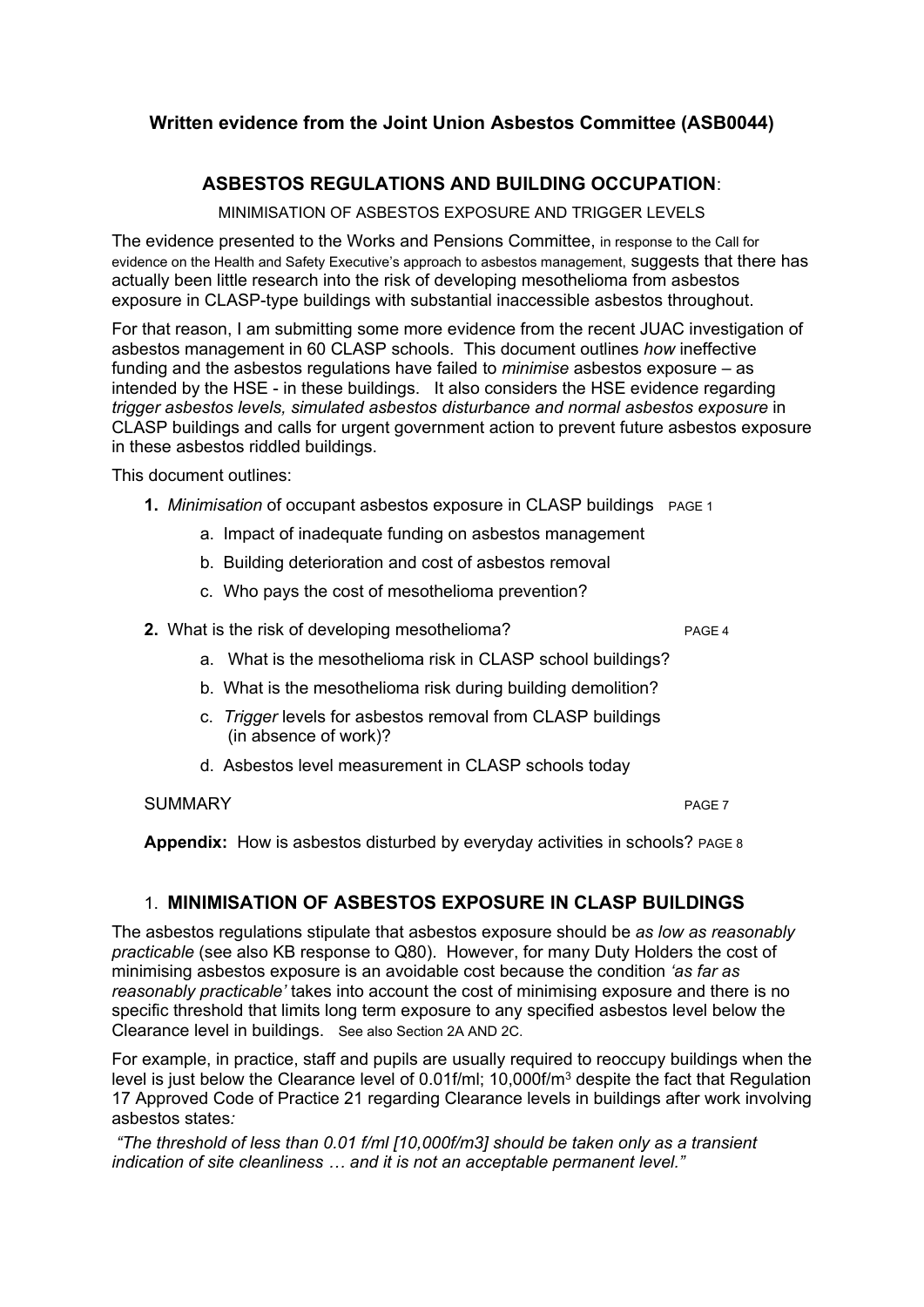# **Written evidence from the Joint Union Asbestos Committee (ASB0044)**

# **ASBESTOS REGULATIONS AND BUILDING OCCUPATION**:

MINIMISATION OF ASBESTOS EXPOSURE AND TRIGGER LEVELS

The evidence presented to the Works and Pensions Committee, in response to the Call for evidence on the Health and Safety Executive's approach to asbestos management, suggests that there has actually been little research into the risk of developing mesothelioma from asbestos exposure in CLASP-type buildings with substantial inaccessible asbestos throughout.

For that reason, I am submitting some more evidence from the recent JUAC investigation of asbestos management in 60 CLASP schools. This document outlines *how* ineffective funding and the asbestos regulations have failed to *minimise* asbestos exposure – as intended by the HSE - in these buildings. It also considers the HSE evidence regarding *trigger asbestos levels, simulated asbestos disturbance and normal asbestos exposure* in CLASP buildings and calls for urgent government action to prevent future asbestos exposure in these asbestos riddled buildings.

This document outlines:

- **1.** *Minimisation* of occupant asbestos exposure in CLASP buildings PAGE 1
	- a. Impact of inadequate funding on asbestos management
	- b. Building deterioration and cost of asbestos removal
	- c. Who pays the cost of mesothelioma prevention?
- **2.** What is the risk of developing mesothelioma? PAGE 4
	- a. What is the mesothelioma risk in CLASP school buildings?
	- b. What is the mesothelioma risk during building demolition?
	- c. *Trigger* levels for asbestos removal from CLASP buildings (in absence of work)?
	- d. Asbestos level measurement in CLASP schools today

SUMMARY PAGE 7

**Appendix:** How is asbestos disturbed by everyday activities in schools? PAGE 8

#### 1. **MINIMISATION OF ASBESTOS EXPOSURE IN CLASP BUILDINGS**

The asbestos regulations stipulate that asbestos exposure should be *as low as reasonably practicable* (see also KB response to Q80). However, for many Duty Holders the cost of minimising asbestos exposure is an avoidable cost because the condition *'as far as reasonably practicable'* takes into account the cost of minimising exposure and there is no specific threshold that limits long term exposure to any specified asbestos level below the Clearance level in buildings. See also Section 2A AND 2C.

For example, in practice, staff and pupils are usually required to reoccupy buildings when the level is just below the Clearance level of 0.01f/ml; 10.000f/m<sup>3</sup> despite the fact that Regulation 17 Approved Code of Practice 21 regarding Clearance levels in buildings after work involving asbestos states*:*

*"The threshold of less than 0.01 f/ml [10,000f/m3] should be taken only as a transient indication of site cleanliness … and it is not an acceptable permanent level."*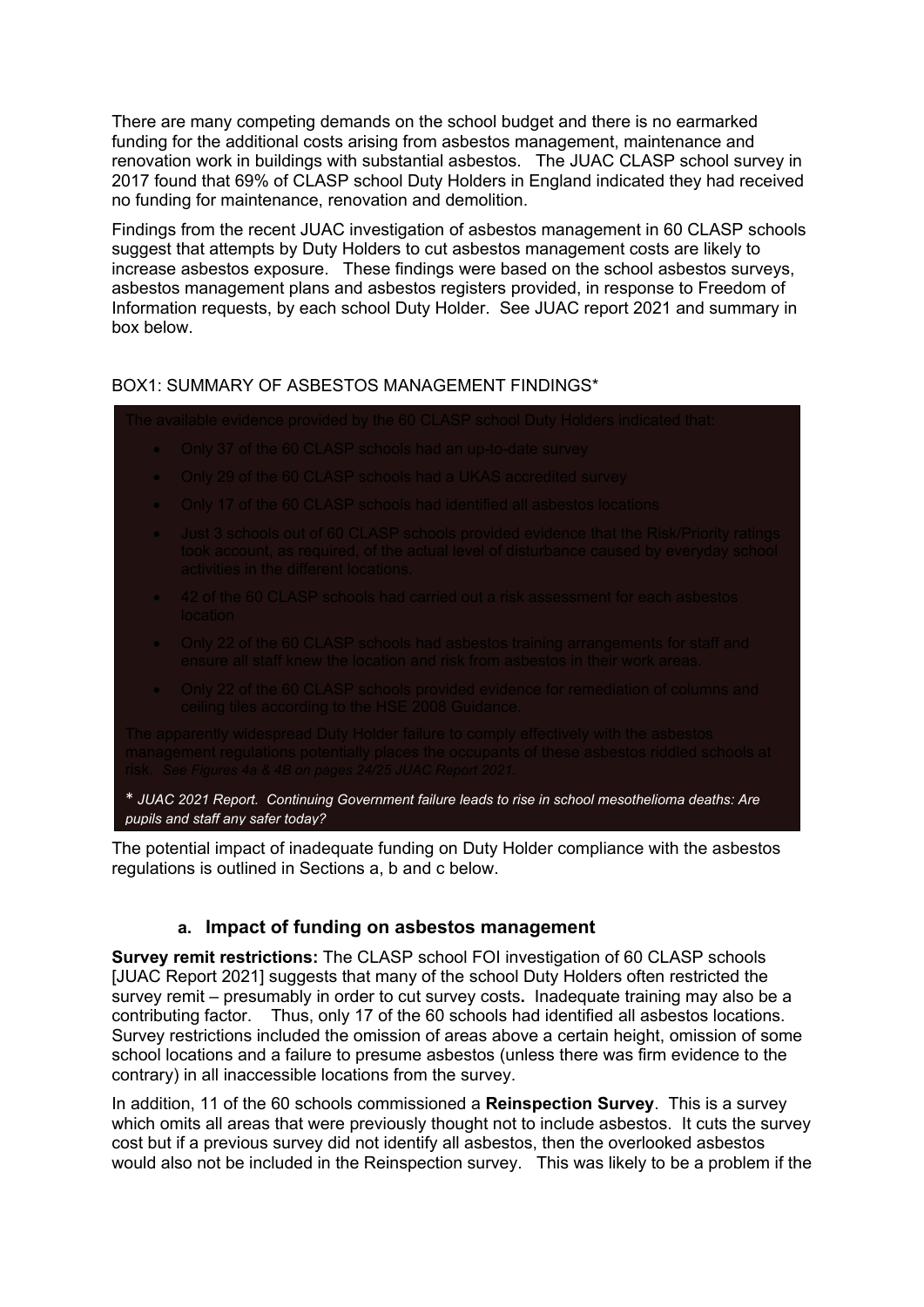There are many competing demands on the school budget and there is no earmarked funding for the additional costs arising from asbestos management, maintenance and renovation work in buildings with substantial asbestos. The JUAC CLASP school survey in 2017 found that 69% of CLASP school Duty Holders in England indicated they had received no funding for maintenance, renovation and demolition.

Findings from the recent JUAC investigation of asbestos management in 60 CLASP schools suggest that attempts by Duty Holders to cut asbestos management costs are likely to increase asbestos exposure. These findings were based on the school asbestos surveys, asbestos management plans and asbestos registers provided, in response to Freedom of Information requests, by each school Duty Holder. See JUAC report 2021 and summary in box below.

# BOX1: SUMMARY OF ASBESTOS MANAGEMENT FINDINGS\*

- 
- 
- 
- 
- 
- 
- 

\* *JUAC 2021 Report. Continuing Government failure leads to rise in school mesothelioma deaths: Are pupils and staff any safer today?*

The potential impact of inadequate funding on Duty Holder compliance with the asbestos regulations is outlined in Sections a, b and c below.

#### **a. Impact of funding on asbestos management**

**Survey remit restrictions:** The CLASP school FOI investigation of 60 CLASP schools [JUAC Report 2021] suggests that many of the school Duty Holders often restricted the survey remit – presumably in order to cut survey costs**.** Inadequate training may also be a contributing factor. Thus, only 17 of the 60 schools had identified all asbestos locations. Survey restrictions included the omission of areas above a certain height, omission of some school locations and a failure to presume asbestos (unless there was firm evidence to the contrary) in all inaccessible locations from the survey.

In addition, 11 of the 60 schools commissioned a **Reinspection Survey**. This is a survey which omits all areas that were previously thought not to include asbestos. It cuts the survey cost but if a previous survey did not identify all asbestos, then the overlooked asbestos would also not be included in the Reinspection survey. This was likely to be a problem if the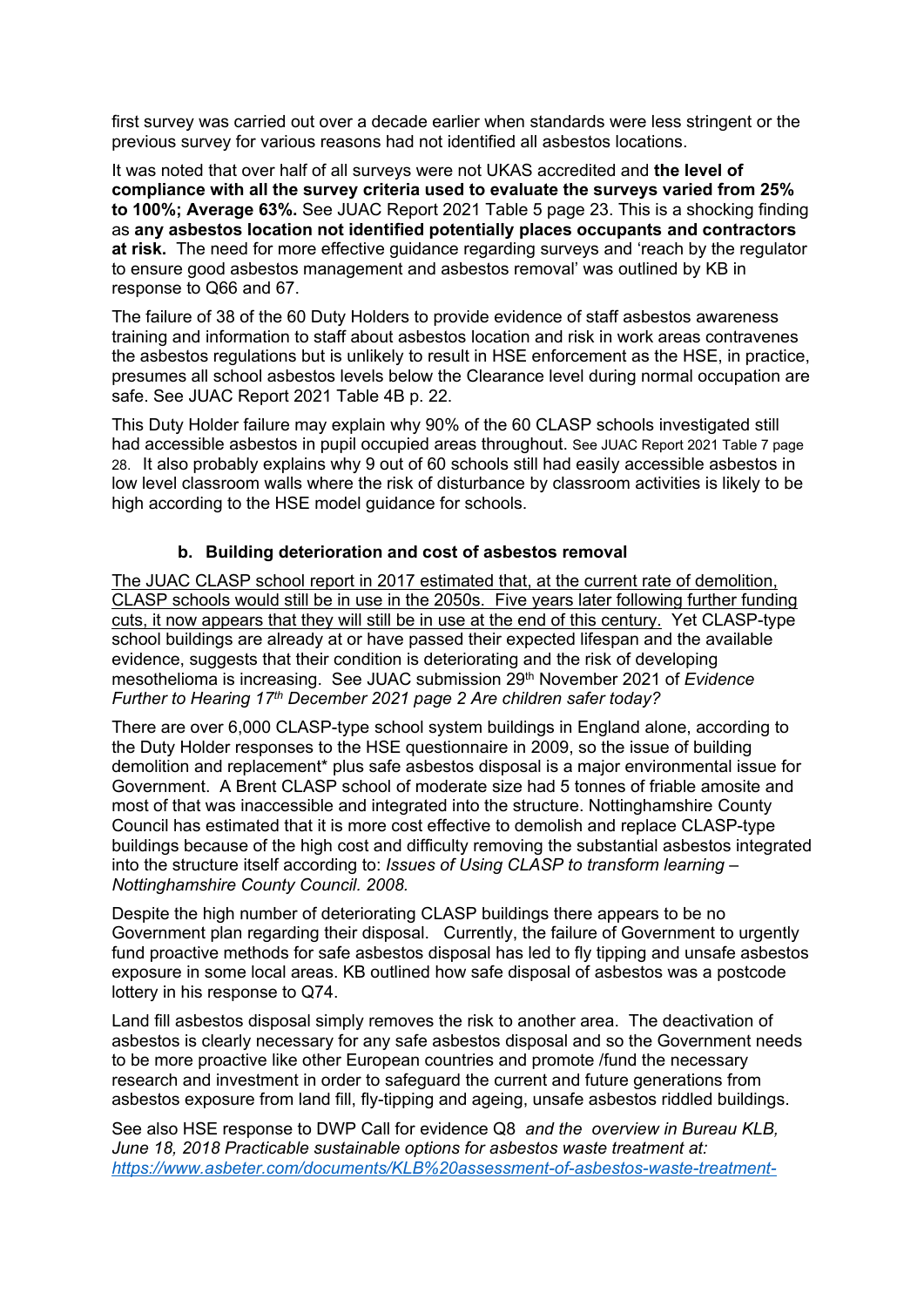first survey was carried out over a decade earlier when standards were less stringent or the previous survey for various reasons had not identified all asbestos locations.

It was noted that over half of all surveys were not UKAS accredited and **the level of compliance with all the survey criteria used to evaluate the surveys varied from 25% to 100%; Average 63%.** See JUAC Report 2021 Table 5 page 23. This is a shocking finding as **any asbestos location not identified potentially places occupants and contractors at risk.** The need for more effective guidance regarding surveys and 'reach by the regulator to ensure good asbestos management and asbestos removal' was outlined by KB in response to Q66 and 67.

The failure of 38 of the 60 Duty Holders to provide evidence of staff asbestos awareness training and information to staff about asbestos location and risk in work areas contravenes the asbestos regulations but is unlikely to result in HSE enforcement as the HSE, in practice, presumes all school asbestos levels below the Clearance level during normal occupation are safe. See JUAC Report 2021 Table 4B p. 22.

This Duty Holder failure may explain why 90% of the 60 CLASP schools investigated still had accessible asbestos in pupil occupied areas throughout. See JUAC Report 2021 Table 7 page 28. It also probably explains why 9 out of 60 schools still had easily accessible asbestos in low level classroom walls where the risk of disturbance by classroom activities is likely to be high according to the HSE model guidance for schools.

#### **b. Building deterioration and cost of asbestos removal**

The JUAC CLASP school report in 2017 estimated that, at the current rate of demolition, CLASP schools would still be in use in the 2050s. Five years later following further funding cuts, it now appears that they will still be in use at the end of this century. Yet CLASP-type school buildings are already at or have passed their expected lifespan and the available evidence, suggests that their condition is deteriorating and the risk of developing mesothelioma is increasing. See JUAC submission 29th November 2021 of *Evidence Further to Hearing 17th December 2021 page 2 Are children safer today?*

There are over 6,000 CLASP-type school system buildings in England alone, according to the Duty Holder responses to the HSE questionnaire in 2009, so the issue of building demolition and replacement\* plus safe asbestos disposal is a major environmental issue for Government. A Brent CLASP school of moderate size had 5 tonnes of friable amosite and most of that was inaccessible and integrated into the structure. Nottinghamshire County Council has estimated that it is more cost effective to demolish and replace CLASP-type buildings because of the high cost and difficulty removing the substantial asbestos integrated into the structure itself according to: *Issues of Using CLASP to transform learning – Nottinghamshire County Council. 2008.*

Despite the high number of deteriorating CLASP buildings there appears to be no Government plan regarding their disposal. Currently, the failure of Government to urgently fund proactive methods for safe asbestos disposal has led to fly tipping and unsafe asbestos exposure in some local areas. KB outlined how safe disposal of asbestos was a postcode lottery in his response to Q74.

Land fill asbestos disposal simply removes the risk to another area. The deactivation of asbestos is clearly necessary for any safe asbestos disposal and so the Government needs to be more proactive like other European countries and promote /fund the necessary research and investment in order to safeguard the current and future generations from asbestos exposure from land fill, fly-tipping and ageing, unsafe asbestos riddled buildings.

See also HSE response to DWP Call for evidence Q8 *and the overview in Bureau KLB, June 18, 2018 Practicable sustainable options for asbestos waste treatment at: [https://www.asbeter.com/documents/KLB%20assessment-of-asbestos-waste-treatment-](https://www.asbeter.com/documents/KLB%20assessment-of-asbestos-waste-treatment-techniques.pdf)*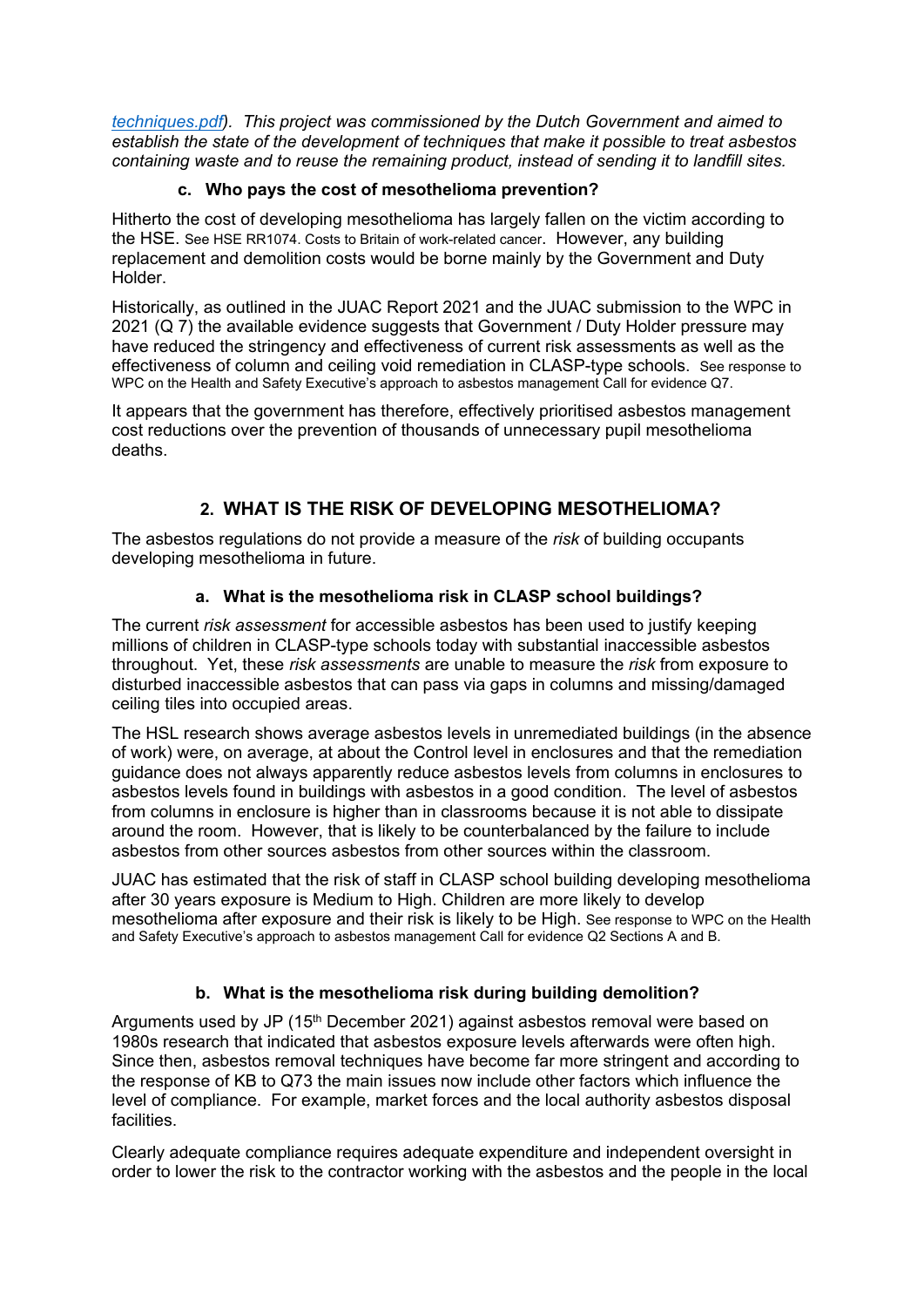*[techniques.pdf\)](https://www.asbeter.com/documents/KLB%20assessment-of-asbestos-waste-treatment-techniques.pdf). This project was commissioned by the Dutch Government and aimed to establish the state of the development of techniques that make it possible to treat asbestos containing waste and to reuse the remaining product, instead of sending it to landfill sites.*

#### **c. Who pays the cost of mesothelioma prevention?**

Hitherto the cost of developing mesothelioma has largely fallen on the victim according to the HSE. See HSE RR1074. Costs to Britain of work-related cancer. However, any building replacement and demolition costs would be borne mainly by the Government and Duty Holder.

Historically, as outlined in the JUAC Report 2021 and the JUAC submission to the WPC in 2021 (Q 7) the available evidence suggests that Government / Duty Holder pressure may have reduced the stringency and effectiveness of current risk assessments as well as the effectiveness of column and ceiling void remediation in CLASP-type schools. See response to WPC on the Health and Safety Executive's approach to asbestos management Call for evidence Q7.

It appears that the government has therefore, effectively prioritised asbestos management cost reductions over the prevention of thousands of unnecessary pupil mesothelioma deaths.

# **2. WHAT IS THE RISK OF DEVELOPING MESOTHELIOMA?**

The asbestos regulations do not provide a measure of the *risk* of building occupants developing mesothelioma in future.

# **a. What is the mesothelioma risk in CLASP school buildings?**

The current *risk assessment* for accessible asbestos has been used to justify keeping millions of children in CLASP-type schools today with substantial inaccessible asbestos throughout. Yet, these *risk assessments* are unable to measure the *risk* from exposure to disturbed inaccessible asbestos that can pass via gaps in columns and missing/damaged ceiling tiles into occupied areas.

The HSL research shows average asbestos levels in unremediated buildings (in the absence of work) were, on average, at about the Control level in enclosures and that the remediation guidance does not always apparently reduce asbestos levels from columns in enclosures to asbestos levels found in buildings with asbestos in a good condition. The level of asbestos from columns in enclosure is higher than in classrooms because it is not able to dissipate around the room. However, that is likely to be counterbalanced by the failure to include asbestos from other sources asbestos from other sources within the classroom.

JUAC has estimated that the risk of staff in CLASP school building developing mesothelioma after 30 years exposure is Medium to High. Children are more likely to develop mesothelioma after exposure and their risk is likely to be High. See response to WPC on the Health and Safety Executive's approach to asbestos management Call for evidence Q2 Sections A and B.

# **b. What is the mesothelioma risk during building demolition?**

Arguments used by JP (15th December 2021) against asbestos removal were based on 1980s research that indicated that asbestos exposure levels afterwards were often high. Since then, asbestos removal techniques have become far more stringent and according to the response of KB to Q73 the main issues now include other factors which influence the level of compliance. For example, market forces and the local authority asbestos disposal facilities.

Clearly adequate compliance requires adequate expenditure and independent oversight in order to lower the risk to the contractor working with the asbestos and the people in the local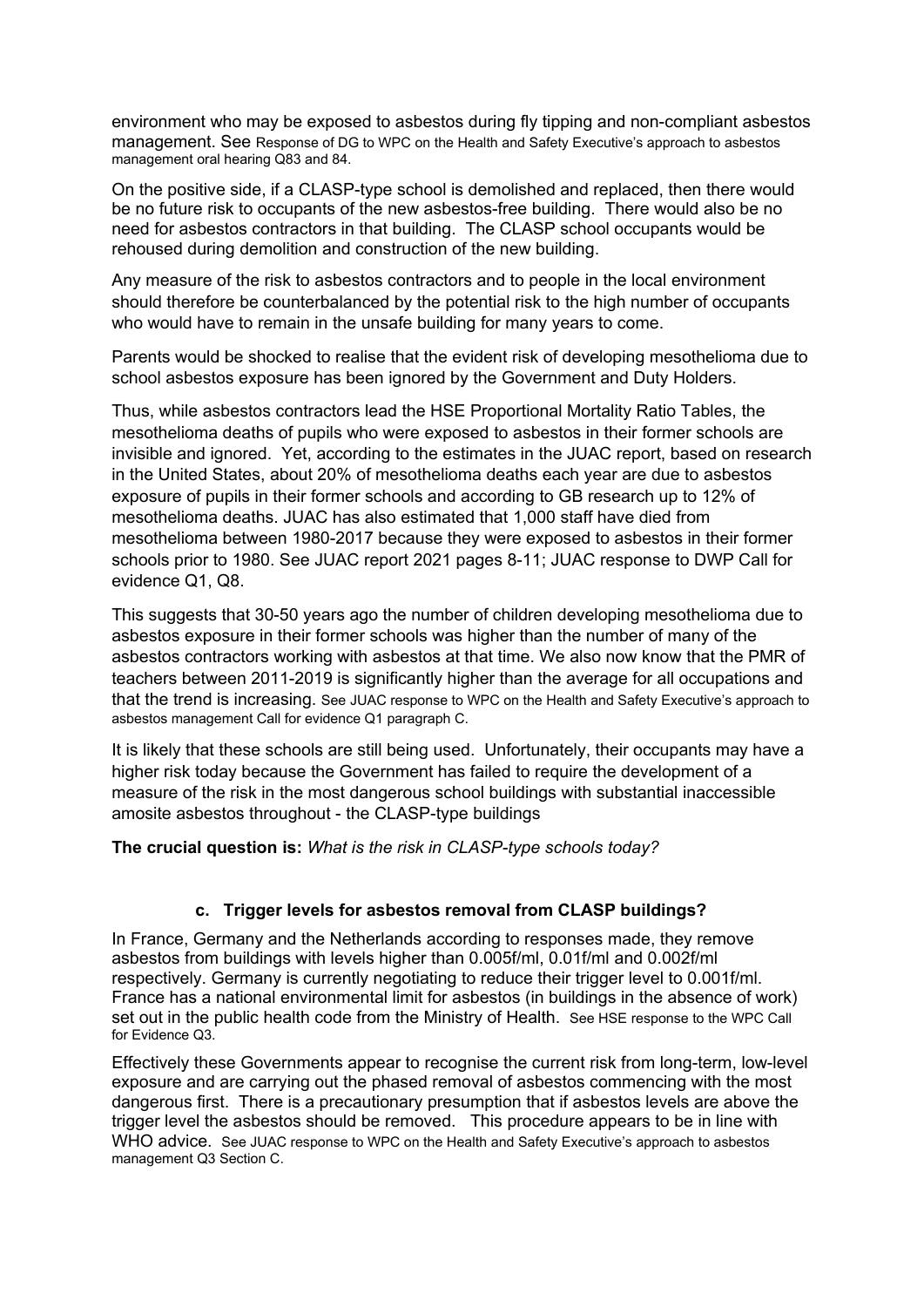environment who may be exposed to asbestos during fly tipping and non-compliant asbestos management. See Response of DG to WPC on the Health and Safety Executive's approach to asbestos management oral hearing Q83 and 84.

On the positive side, if a CLASP-type school is demolished and replaced, then there would be no future risk to occupants of the new asbestos-free building. There would also be no need for asbestos contractors in that building. The CLASP school occupants would be rehoused during demolition and construction of the new building.

Any measure of the risk to asbestos contractors and to people in the local environment should therefore be counterbalanced by the potential risk to the high number of occupants who would have to remain in the unsafe building for many years to come.

Parents would be shocked to realise that the evident risk of developing mesothelioma due to school asbestos exposure has been ignored by the Government and Duty Holders.

Thus, while asbestos contractors lead the HSE Proportional Mortality Ratio Tables, the mesothelioma deaths of pupils who were exposed to asbestos in their former schools are invisible and ignored. Yet, according to the estimates in the JUAC report, based on research in the United States, about 20% of mesothelioma deaths each year are due to asbestos exposure of pupils in their former schools and according to GB research up to 12% of mesothelioma deaths. JUAC has also estimated that 1,000 staff have died from mesothelioma between 1980-2017 because they were exposed to asbestos in their former schools prior to 1980. See JUAC report 2021 pages 8-11; JUAC response to DWP Call for evidence Q1, Q8.

This suggests that 30-50 years ago the number of children developing mesothelioma due to asbestos exposure in their former schools was higher than the number of many of the asbestos contractors working with asbestos at that time. We also now know that the PMR of teachers between 2011-2019 is significantly higher than the average for all occupations and that the trend is increasing. See JUAC response to WPC on the Health and Safety Executive's approach to asbestos management Call for evidence Q1 paragraph C.

It is likely that these schools are still being used. Unfortunately, their occupants may have a higher risk today because the Government has failed to require the development of a measure of the risk in the most dangerous school buildings with substantial inaccessible amosite asbestos throughout - the CLASP-type buildings

**The crucial question is:** *What is the risk in CLASP-type schools today?*

#### **c. Trigger levels for asbestos removal from CLASP buildings?**

In France, Germany and the Netherlands according to responses made, they remove asbestos from buildings with levels higher than 0.005f/ml, 0.01f/ml and 0.002f/ml respectively. Germany is currently negotiating to reduce their trigger level to 0.001f/ml. France has a national environmental limit for asbestos (in buildings in the absence of work) set out in the public health code from the Ministry of Health. See HSE response to the WPC Call for Evidence Q3.

Effectively these Governments appear to recognise the current risk from long-term, low-level exposure and are carrying out the phased removal of asbestos commencing with the most dangerous first. There is a precautionary presumption that if asbestos levels are above the trigger level the asbestos should be removed. This procedure appears to be in line with WHO advice. See JUAC response to WPC on the Health and Safety Executive's approach to asbestos management Q3 Section C.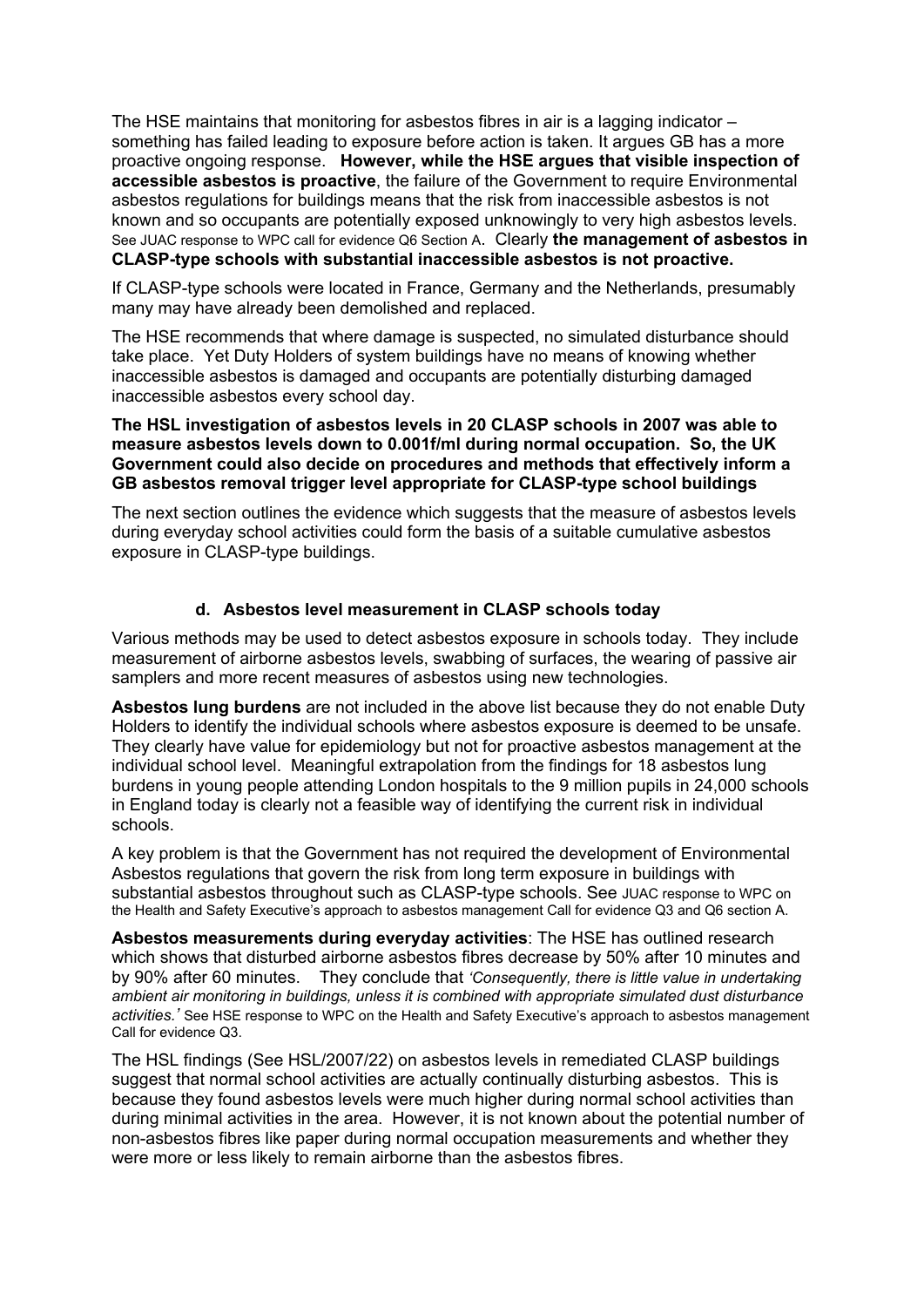The HSE maintains that monitoring for asbestos fibres in air is a lagging indicator – something has failed leading to exposure before action is taken. It argues GB has a more proactive ongoing response. **However, while the HSE argues that visible inspection of accessible asbestos is proactive**, the failure of the Government to require Environmental asbestos regulations for buildings means that the risk from inaccessible asbestos is not known and so occupants are potentially exposed unknowingly to very high asbestos levels. See JUAC response to WPC call for evidence Q6 Section A. Clearly **the management of asbestos in CLASP-type schools with substantial inaccessible asbestos is not proactive.**

If CLASP-type schools were located in France, Germany and the Netherlands, presumably many may have already been demolished and replaced.

The HSE recommends that where damage is suspected, no simulated disturbance should take place. Yet Duty Holders of system buildings have no means of knowing whether inaccessible asbestos is damaged and occupants are potentially disturbing damaged inaccessible asbestos every school day.

**The HSL investigation of asbestos levels in 20 CLASP schools in 2007 was able to measure asbestos levels down to 0.001f/ml during normal occupation. So, the UK Government could also decide on procedures and methods that effectively inform a GB asbestos removal trigger level appropriate for CLASP-type school buildings** 

The next section outlines the evidence which suggests that the measure of asbestos levels during everyday school activities could form the basis of a suitable cumulative asbestos exposure in CLASP-type buildings.

#### **d. Asbestos level measurement in CLASP schools today**

Various methods may be used to detect asbestos exposure in schools today. They include measurement of airborne asbestos levels, swabbing of surfaces, the wearing of passive air samplers and more recent measures of asbestos using new technologies.

**Asbestos lung burdens** are not included in the above list because they do not enable Duty Holders to identify the individual schools where asbestos exposure is deemed to be unsafe. They clearly have value for epidemiology but not for proactive asbestos management at the individual school level. Meaningful extrapolation from the findings for 18 asbestos lung burdens in young people attending London hospitals to the 9 million pupils in 24,000 schools in England today is clearly not a feasible way of identifying the current risk in individual schools.

A key problem is that the Government has not required the development of Environmental Asbestos regulations that govern the risk from long term exposure in buildings with substantial asbestos throughout such as CLASP-type schools. See JUAC response to WPC on the Health and Safety Executive's approach to asbestos management Call for evidence Q3 and Q6 section A.

**Asbestos measurements during everyday activities**: The HSE has outlined research which shows that disturbed airborne asbestos fibres decrease by 50% after 10 minutes and by 90% after 60 minutes. They conclude that *'Consequently, there is little value in undertaking ambient air monitoring in buildings, unless it is combined with appropriate simulated dust disturbance activities.'* See HSE response to WPC on the Health and Safety Executive's approach to asbestos management Call for evidence Q3.

The HSL findings (See HSL/2007/22) on asbestos levels in remediated CLASP buildings suggest that normal school activities are actually continually disturbing asbestos. This is because they found asbestos levels were much higher during normal school activities than during minimal activities in the area. However, it is not known about the potential number of non-asbestos fibres like paper during normal occupation measurements and whether they were more or less likely to remain airborne than the asbestos fibres.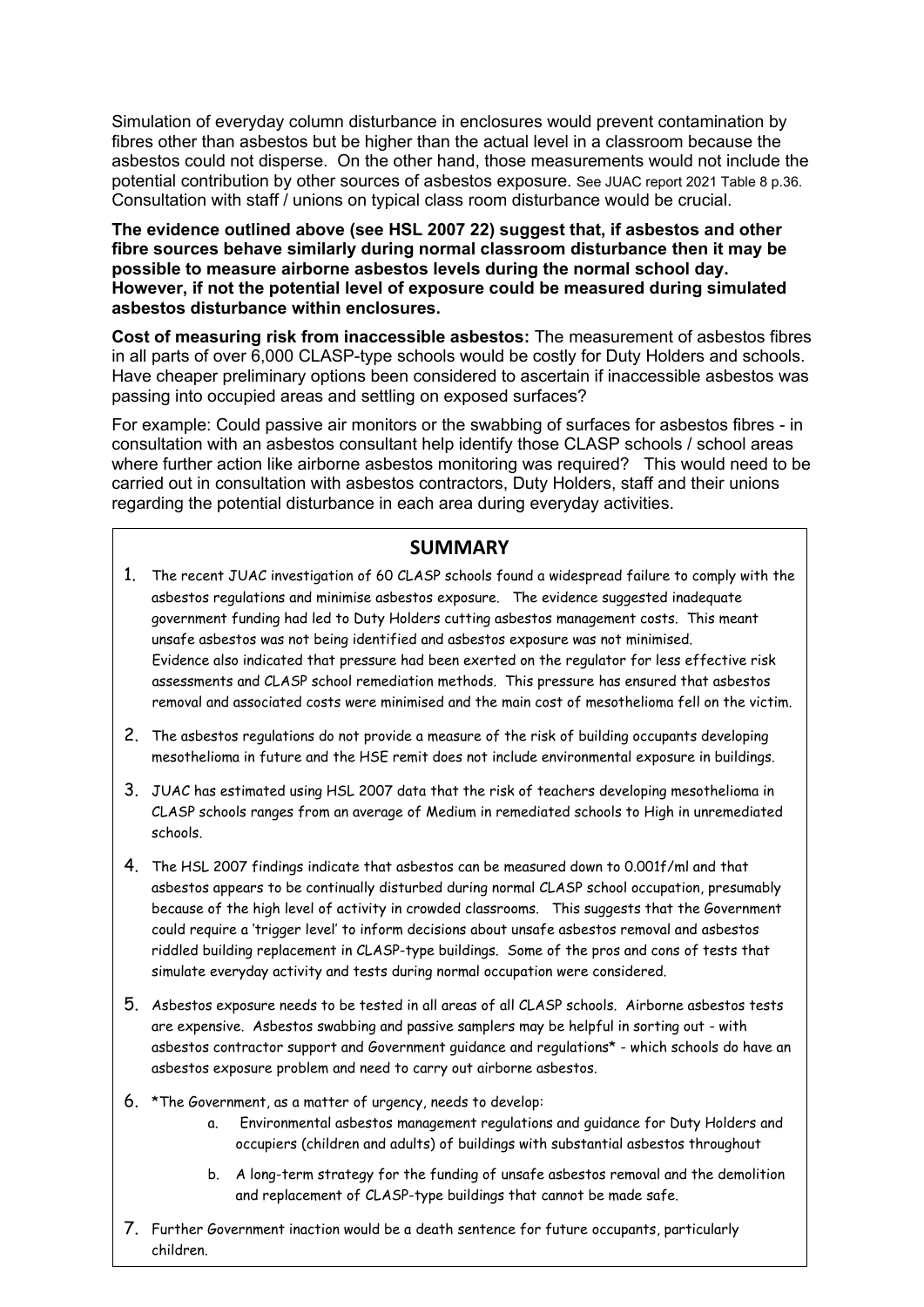Simulation of everyday column disturbance in enclosures would prevent contamination by fibres other than asbestos but be higher than the actual level in a classroom because the asbestos could not disperse. On the other hand, those measurements would not include the potential contribution by other sources of asbestos exposure. See JUAC report 2021 Table 8 p.36. Consultation with staff / unions on typical class room disturbance would be crucial.

**The evidence outlined above (see HSL 2007 22) suggest that, if asbestos and other fibre sources behave similarly during normal classroom disturbance then it may be possible to measure airborne asbestos levels during the normal school day. However, if not the potential level of exposure could be measured during simulated asbestos disturbance within enclosures.**

**Cost of measuring risk from inaccessible asbestos:** The measurement of asbestos fibres in all parts of over 6,000 CLASP-type schools would be costly for Duty Holders and schools. Have cheaper preliminary options been considered to ascertain if inaccessible asbestos was passing into occupied areas and settling on exposed surfaces?

For example: Could passive air monitors or the swabbing of surfaces for asbestos fibres - in consultation with an asbestos consultant help identify those CLASP schools / school areas where further action like airborne asbestos monitoring was required? This would need to be carried out in consultation with asbestos contractors, Duty Holders, staff and their unions regarding the potential disturbance in each area during everyday activities.

# **SUMMARY**

- 1. The recent JUAC investigation of 60 CLASP schools found a widespread failure to comply with the asbestos regulations and minimise asbestos exposure. The evidence suggested inadequate government funding had led to Duty Holders cutting asbestos management costs. This meant unsafe asbestos was not being identified and asbestos exposure was not minimised. Evidence also indicated that pressure had been exerted on the regulator for less effective risk assessments and CLASP school remediation methods. This pressure has ensured that asbestos removal and associated costs were minimised and the main cost of mesothelioma fell on the victim.
- 2. The asbestos regulations do not provide a measure of the risk of building occupants developing mesothelioma in future and the HSE remit does not include environmental exposure in buildings.
- 3. JUAC has estimated using HSL 2007 data that the risk of teachers developing mesothelioma in CLASP schools ranges from an average of Medium in remediated schools to High in unremediated schools.
- 4. The HSL 2007 findings indicate that asbestos can be measured down to 0.001f/ml and that asbestos appears to be continually disturbed during normal CLASP school occupation, presumably because of the high level of activity in crowded classrooms. This suggests that the Government could require a 'trigger level' to inform decisions about unsafe asbestos removal and asbestos riddled building replacement in CLASP-type buildings. Some of the pros and cons of tests that simulate everyday activity and tests during normal occupation were considered.
- 5. Asbestos exposure needs to be tested in all areas of all CLASP schools. Airborne asbestos tests are expensive. Asbestos swabbing and passive samplers may be helpful in sorting out - with asbestos contractor support and Government guidance and regulations\* - which schools do have an asbestos exposure problem and need to carry out airborne asbestos.
- 6. \*The Government, as a matter of urgency, needs to develop:
	- a. Environmental asbestos management regulations and guidance for Duty Holders and occupiers (children and adults) of buildings with substantial asbestos throughout
	- b. A long-term strategy for the funding of unsafe asbestos removal and the demolition and replacement of CLASP-type buildings that cannot be made safe.
- 7. Further Government inaction would be a death sentence for future occupants, particularly children.